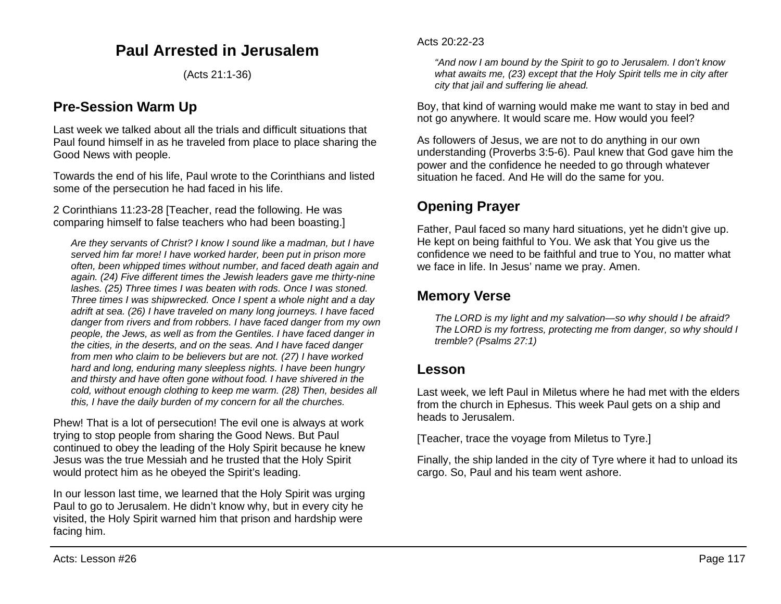# **Paul Arrested in Jerusalem**

(Acts 21:1-36)

## **Pre-Session Warm Up**

Last week we talked about all the trials and difficult situations that Paul found himself in as he traveled from place to place sharing the Good News with people.

Towards the end of his life, Paul wrote to the Corinthians and listed some of the persecution he had faced in his life.

2 Corinthians 11:23-28 [Teacher, read the following. He was comparing himself to false teachers who had been boasting.]

*Are they servants of Christ? I know I sound like a madman, but I have served him far more! I have worked harder, been put in prison more often, been whipped times without number, and faced death again and again. (24) Five different times the Jewish leaders gave me thirty-nine lashes. (25) Three times I was beaten with rods. Once I was stoned. Three times I was shipwrecked. Once I spent a whole night and a day adrift at sea. (26) I have traveled on many long journeys. I have faced danger from rivers and from robbers. I have faced danger from my own people, the Jews, as well as from the Gentiles. I have faced danger in the cities, in the deserts, and on the seas. And I have faced danger from men who claim to be believers but are not. (27) I have worked hard and long, enduring many sleepless nights. I have been hungry and thirsty and have often gone without food. I have shivered in the cold, without enough clothing to keep me warm. (28) Then, besides all this, I have the daily burden of my concern for all the churches.*

Phew! That is a lot of persecution! The evil one is always at work trying to stop people from sharing the Good News. But Paul continued to obey the leading of the Holy Spirit because he knew Jesus was the true Messiah and he trusted that the Holy Spirit would protect him as he obeyed the Spirit's leading.

In our lesson last time, we learned that the Holy Spirit was urging Paul to go to Jerusalem. He didn't know why, but in every city he visited, the Holy Spirit warned him that prison and hardship were facing him.

*"And now I am bound by the Spirit to go to Jerusalem. I don't know what awaits me, (23) except that the Holy Spirit tells me in city after city that jail and suffering lie ahead.*

Boy, that kind of warning would make me want to stay in bed and not go anywhere. It would scare me. How would you feel?

As followers of Jesus, we are not to do anything in our own understanding (Proverbs 3:5-6). Paul knew that God gave him the power and the confidence he needed to go through whatever situation he faced. And He will do the same for you.

## **Opening Prayer**

Father, Paul faced so many hard situations, yet he didn't give up. He kept on being faithful to You. We ask that You give us the confidence we need to be faithful and true to You, no matter what we face in life. In Jesus' name we pray. Amen.

## **Memory Verse**

*The LORD is my light and my salvation—so why should I be afraid? The LORD is my fortress, protecting me from danger, so why should I tremble? (Psalms 27:1)*

### **Lesson**

Last week, we left Paul in Miletus where he had met with the elders from the church in Ephesus. This week Paul gets on a ship and heads to Jerusalem.

[Teacher, trace the voyage from Miletus to Tyre.]

Finally, the ship landed in the city of Tyre where it had to unload its cargo. So, Paul and his team went ashore.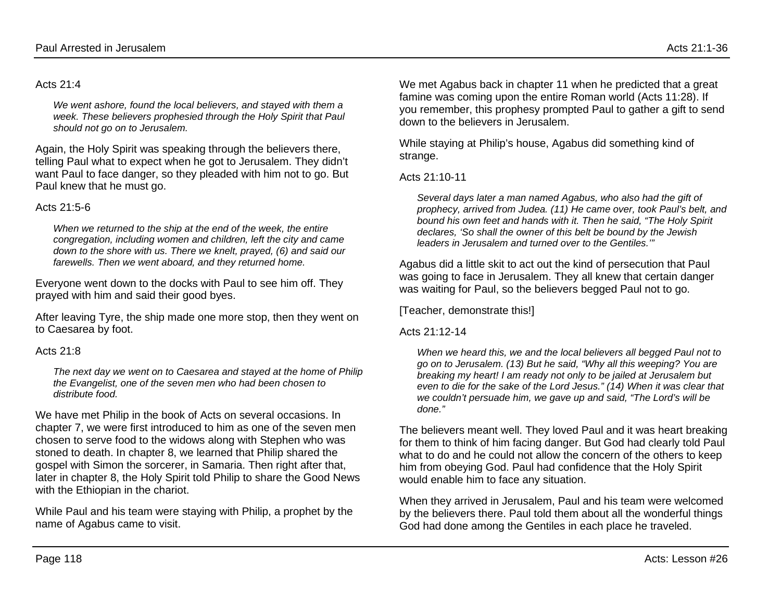#### Acts 21:4

*We went ashore, found the local believers, and stayed with them a week. These believers prophesied through the Holy Spirit that Paul should not go on to Jerusalem.*

Again, the Holy Spirit was speaking through the believers there, telling Paul what to expect when he got to Jerusalem. They didn't want Paul to face danger, so they pleaded with him not to go. But Paul knew that he must go.

#### Acts 21:5-6

*When we returned to the ship at the end of the week, the entire congregation, including women and children, left the city and came down to the shore with us. There we knelt, prayed, (6) and said our farewells. Then we went aboard, and they returned home.*

Everyone went down to the docks with Paul to see him off. They prayed with him and said their good byes.

After leaving Tyre, the ship made one more stop, then they went on to Caesarea by foot.

#### Acts  $21.8$

*The next day we went on to Caesarea and stayed at the home of Philip the Evangelist, one of the seven men who had been chosen to distribute food.*

We have met Philip in the book of Acts on several occasions. In chapter 7, we were first introduced to him as one of the seven men chosen to serve food to the widows along with Stephen who was stoned to death. In chapter 8, we learned that Philip shared the gospel with Simon the sorcerer, in Samaria. Then right after that, later in chapter 8, the Holy Spirit told Philip to share the Good News with the Ethiopian in the chariot.

While Paul and his team were staying with Philip, a prophet by the name of Agabus came to visit.

We met Agabus back in chapter 11 when he predicted that a great famine was coming upon the entire Roman world (Acts 11:28). If you remember, this prophesy prompted Paul to gather a gift to send down to the believers in Jerusalem.

While staying at Philip's house, Agabus did something kind of strange.

Acts 21:10-11

*Several days later a man named Agabus, who also had the gift of prophecy, arrived from Judea. (11) He came over, took Paul's belt, and bound his own feet and hands with it. Then he said, "The Holy Spirit declares, 'So shall the owner of this belt be bound by the Jewish leaders in Jerusalem and turned over to the Gentiles.'"*

Agabus did a little skit to act out the kind of persecution that Paul was going to face in Jerusalem. They all knew that certain danger was waiting for Paul, so the believers begged Paul not to go.

[Teacher, demonstrate this!]

#### Acts 21:12-14

*When we heard this, we and the local believers all begged Paul not to go on to Jerusalem. (13) But he said, "Why all this weeping? You are breaking my heart! I am ready not only to be jailed at Jerusalem but even to die for the sake of the Lord Jesus." (14) When it was clear that we couldn't persuade him, we gave up and said, "The Lord's will be done."*

The believers meant well. They loved Paul and it was heart breaking for them to think of him facing danger. But God had clearly told Paul what to do and he could not allow the concern of the others to keep him from obeying God. Paul had confidence that the Holy Spirit would enable him to face any situation.

When they arrived in Jerusalem, Paul and his team were welcomed by the believers there. Paul told them about all the wonderful things God had done among the Gentiles in each place he traveled.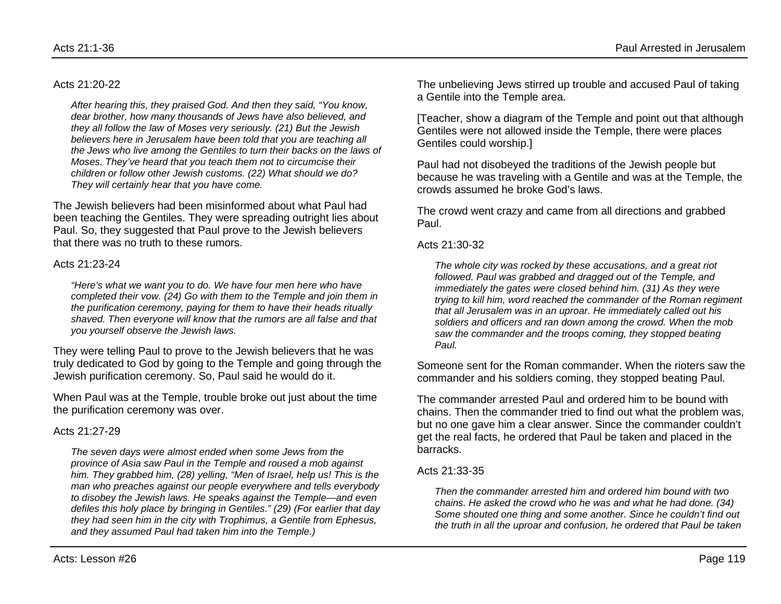#### Acts 21:20-22

*After hearing this, they praised God. And then they said, "You know, dear brother, how many thousands of Jews have also believed, and they all follow the law of Moses very seriously. (21) But the Jewish believers here in Jerusalem have been told that you are teaching all the Jews who live among the Gentiles to turn their backs on the laws of Moses. They've heard that you teach them not to circumcise their children or follow other Jewish customs. (22) What should we do? They will certainly hear that you have come.*

The Jewish believers had been misinformed about what Paul had been teaching the Gentiles. They were spreading outright lies about Paul. So, they suggested that Paul prove to the Jewish believers that there was no truth to these rumors.

#### Acts 21:23-24

*"Here's what we want you to do. We have four men here who have completed their vow. (24) Go with them to the Temple and join them in the purification ceremony, paying for them to have their heads ritually shaved. Then everyone will know that the rumors are all false and that you yourself observe the Jewish laws.*

They were telling Paul to prove to the Jewish believers that he was truly dedicated to God by going to the Temple and going through the Jewish purification ceremony. So, Paul said he would do it.

When Paul was at the Temple, trouble broke out just about the time the purification ceremony was over.

#### Acts 21:27-29

*The seven days were almost ended when some Jews from the province of Asia saw Paul in the Temple and roused a mob against him. They grabbed him, (28) yelling, "Men of Israel, help us! This is the man who preaches against our people everywhere and tells everybody to disobey the Jewish laws. He speaks against the Temple—and even defiles this holy place by bringing in Gentiles." (29) (For earlier that day they had seen him in the city with Trophimus, a Gentile from Ephesus, and they assumed Paul had taken him into the Temple.)*

The unbelieving Jews stirred up trouble and accused Paul of taking a Gentile into the Temple area.

[Teacher, show a diagram of the Temple and point out that although Gentiles were not allowed inside the Temple, there were places Gentiles could worship.]

Paul had not disobeyed the traditions of the Jewish people but because he was traveling with a Gentile and was at the Temple, the crowds assumed he broke God's laws.

The crowd went crazy and came from all directions and grabbed Paul.

#### Acts 21:30-32

*The whole city was rocked by these accusations, and a great riot followed. Paul was grabbed and dragged out of the Temple, and immediately the gates were closed behind him. (31) As they were trying to kill him, word reached the commander of the Roman regiment that all Jerusalem was in an uproar. He immediately called out his soldiers and officers and ran down among the crowd. When the mob saw the commander and the troops coming, they stopped beating Paul.*

Someone sent for the Roman commander. When the rioters saw the commander and his soldiers coming, they stopped beating Paul.

The commander arrested Paul and ordered him to be bound with chains. Then the commander tried to find out what the problem was, but no one gave him a clear answer. Since the commander couldn't get the real facts, he ordered that Paul be taken and placed in the barracks.

#### Acts 21:33-35

*Then the commander arrested him and ordered him bound with two chains. He asked the crowd who he was and what he had done. (34) Some shouted one thing and some another. Since he couldn't find out the truth in all the uproar and confusion, he ordered that Paul be taken*